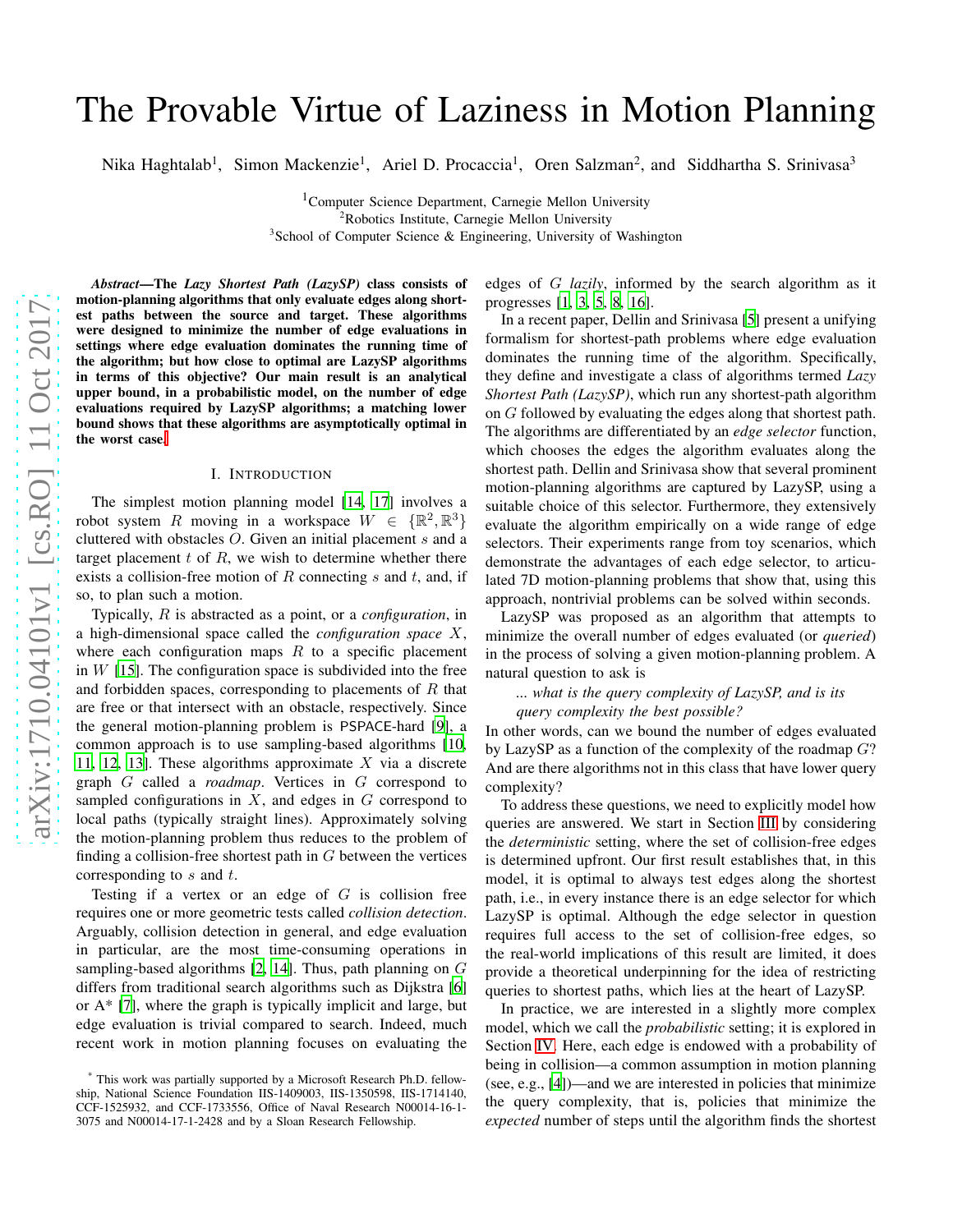# arXiv:1710.04101v1 [cs.RO] 11 Oct 2017 [arXiv:1710.04101v1 \[cs.RO\] 11 Oct 2017](http://arxiv.org/abs/1710.04101v1)

# The Provable Virtue of Laziness in Motion Planning

Nika Haghtalab<sup>1</sup>, Simon Mackenzie<sup>1</sup>, Ariel D. Procaccia<sup>1</sup>, Oren Salzman<sup>2</sup>, and Siddhartha S. Srinivasa<sup>3</sup>

<sup>1</sup>Computer Science Department, Carnegie Mellon University <sup>2</sup>Robotics Institute, Carnegie Mellon University <sup>3</sup>School of Computer Science & Engineering, University of Washington

*Abstract*—The *Lazy Shortest Path (LazySP)* class consists of motion-planning algorithms that only evaluate edges along shortest paths between the source and target. These algorithms were designed to minimize the number of edge evaluations in settings where edge evaluation dominates the running time of the algorithm; but how close to optimal are LazySP algorithms in terms of this objective? Our main result is an analytical upper bound, in a probabilistic model, on the number of edge evaluations required by LazySP algorithms; a matching lower bound shows that these algorithms are asymptotically optimal in the worst case[.](#page-0-0)

### I. INTRODUCTION

The simplest motion planning model [\[14,](#page-7-0) [17\]](#page-7-1) involves a robot system R moving in a workspace  $W \in \{\mathbb{R}^2, \mathbb{R}^3\}$ cluttered with obstacles  $O$ . Given an initial placement  $s$  and a target placement  $t$  of  $R$ , we wish to determine whether there exists a collision-free motion of R connecting  $s$  and  $t$ , and, if so, to plan such a motion.

Typically, R is abstracted as a point, or a *configuration*, in a high-dimensional space called the *configuration space* X, where each configuration maps  $R$  to a specific placement in  $W$  [\[15\]](#page-7-2). The configuration space is subdivided into the free and forbidden spaces, corresponding to placements of  $R$  that are free or that intersect with an obstacle, respectively. Since the general motion-planning problem is PSPACE-hard [\[9\]](#page-7-3), a common approach is to use sampling-based algorithms [\[10,](#page-7-4) [11,](#page-7-5) [12,](#page-7-6) [13](#page-7-7)]. These algorithms approximate  $X$  via a discrete graph G called a *roadmap*. Vertices in G correspond to sampled configurations in  $X$ , and edges in  $G$  correspond to local paths (typically straight lines). Approximately solving the motion-planning problem thus reduces to the problem of finding a collision-free shortest path in  $G$  between the vertices corresponding to  $s$  and  $t$ .

Testing if a vertex or an edge of  $G$  is collision free requires one or more geometric tests called *collision detection*. Arguably, collision detection in general, and edge evaluation in particular, are the most time-consuming operations in sampling-based algorithms  $[2, 14]$  $[2, 14]$  $[2, 14]$ . Thus, path planning on  $G$ differs from traditional search algorithms such as Dijkstra [\[6\]](#page-7-8) or A\* [\[7](#page-7-9)], where the graph is typically implicit and large, but edge evaluation is trivial compared to search. Indeed, much recent work in motion planning focuses on evaluating the

edges of G *lazily*, informed by the search algorithm as it progresses [\[1,](#page-6-1) [3,](#page-6-2) [5,](#page-6-3) [8,](#page-7-10) [16\]](#page-7-11).

In a recent paper, Dellin and Srinivasa [\[5](#page-6-3)] present a unifying formalism for shortest-path problems where edge evaluation dominates the running time of the algorithm. Specifically, they define and investigate a class of algorithms termed *Lazy Shortest Path (LazySP)*, which run any shortest-path algorithm on G followed by evaluating the edges along that shortest path. The algorithms are differentiated by an *edge selector* function, which chooses the edges the algorithm evaluates along the shortest path. Dellin and Srinivasa show that several prominent motion-planning algorithms are captured by LazySP, using a suitable choice of this selector. Furthermore, they extensively evaluate the algorithm empirically on a wide range of edge selectors. Their experiments range from toy scenarios, which demonstrate the advantages of each edge selector, to articulated 7D motion-planning problems that show that, using this approach, nontrivial problems can be solved within seconds.

LazySP was proposed as an algorithm that attempts to minimize the overall number of edges evaluated (or *queried*) in the process of solving a given motion-planning problem. A natural question to ask is

*... what is the query complexity of LazySP, and is its query complexity the best possible?*

In other words, can we bound the number of edges evaluated by LazySP as a function of the complexity of the roadmap  $G$ ? And are there algorithms not in this class that have lower query complexity?

To address these questions, we need to explicitly model how queries are answered. We start in Section [III](#page-2-0) by considering the *deterministic* setting, where the set of collision-free edges is determined upfront. Our first result establishes that, in this model, it is optimal to always test edges along the shortest path, i.e., in every instance there is an edge selector for which LazySP is optimal. Although the edge selector in question requires full access to the set of collision-free edges, so the real-world implications of this result are limited, it does provide a theoretical underpinning for the idea of restricting queries to shortest paths, which lies at the heart of LazySP.

In practice, we are interested in a slightly more complex model, which we call the *probabilistic* setting; it is explored in Section [IV.](#page-2-1) Here, each edge is endowed with a probability of being in collision—a common assumption in motion planning (see, e.g., [\[4\]](#page-6-4))—and we are interested in policies that minimize the query complexity, that is, policies that minimize the *expected* number of steps until the algorithm finds the shortest

<span id="page-0-0"></span><sup>\*</sup> This work was partially supported by a Microsoft Research Ph.D. fellowship, National Science Foundation IIS-1409003, IIS-1350598, IIS-1714140, CCF-1525932, and CCF-1733556, Office of Naval Research N00014-16-1- 3075 and N00014-17-1-2428 and by a Sloan Research Fellowship.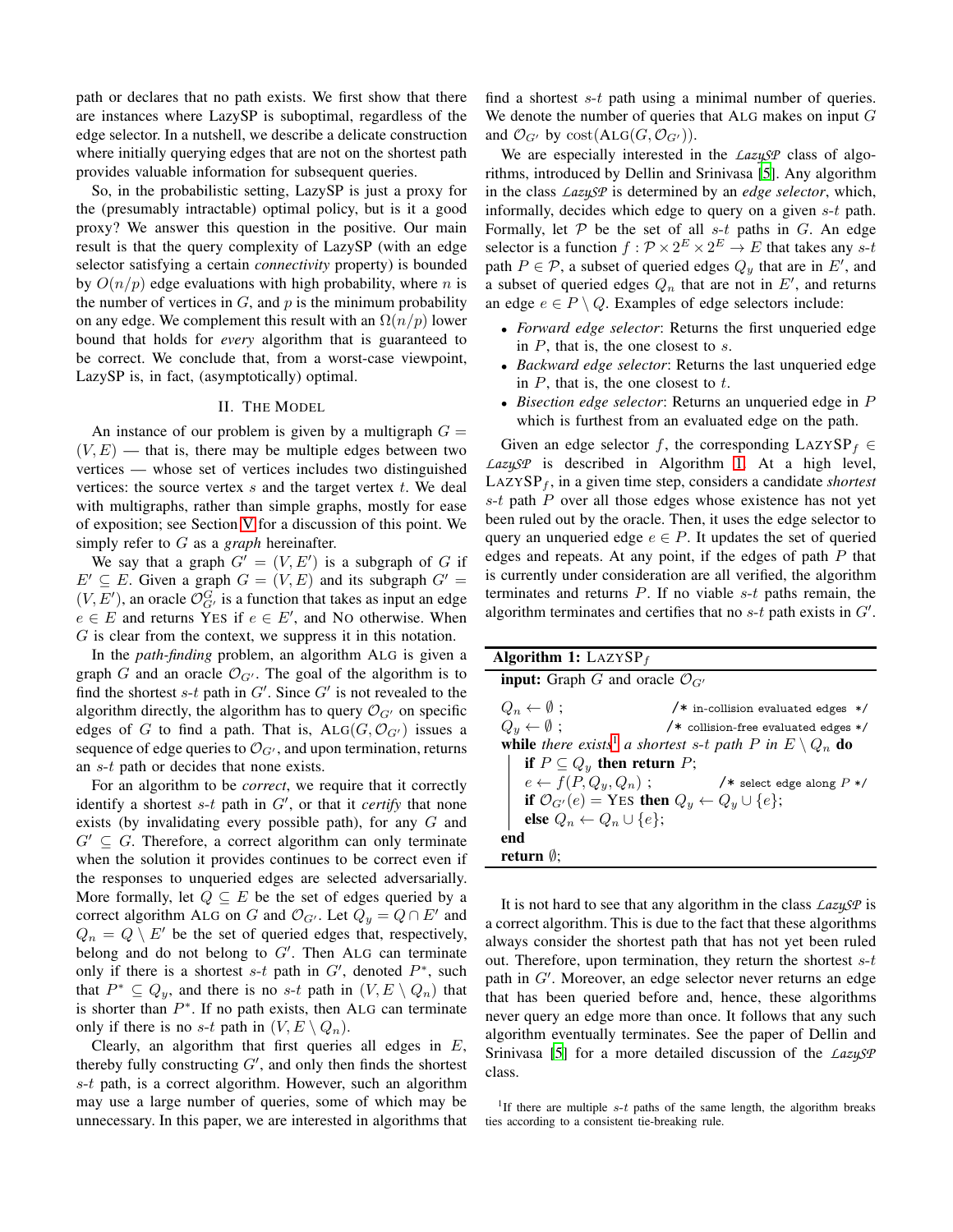path or declares that no path exists. We first show that there are instances where LazySP is suboptimal, regardless of the edge selector. In a nutshell, we describe a delicate construction where initially querying edges that are not on the shortest path provides valuable information for subsequent queries.

So, in the probabilistic setting, LazySP is just a proxy for the (presumably intractable) optimal policy, but is it a good proxy? We answer this question in the positive. Our main result is that the query complexity of LazySP (with an edge selector satisfying a certain *connectivity* property) is bounded by  $O(n/p)$  edge evaluations with high probability, where n is the number of vertices in  $G$ , and  $p$  is the minimum probability on any edge. We complement this result with an  $\Omega(n/p)$  lower bound that holds for *every* algorithm that is guaranteed to be correct. We conclude that, from a worst-case viewpoint, LazySP is, in fact, (asymptotically) optimal.

# II. THE MODEL

<span id="page-1-2"></span>An instance of our problem is given by a multigraph  $G =$  $(V, E)$  — that is, there may be multiple edges between two vertices — whose set of vertices includes two distinguished vertices: the source vertex  $s$  and the target vertex  $t$ . We deal with multigraphs, rather than simple graphs, mostly for ease of exposition; see Section [V](#page-6-5) for a discussion of this point. We simply refer to G as a *graph* hereinafter.

We say that a graph  $G' = (V, E')$  is a subgraph of G if  $E' \subseteq E$ . Given a graph  $G = (V, E)$  and its subgraph  $G' =$  $(V, E')$ , an oracle  $\mathcal{O}_{G'}^G$  is a function that takes as input an edge  $e \in E$  and returns YES if  $e \in E'$ , and NO otherwise. When G is clear from the context, we suppress it in this notation.

In the *path-finding* problem, an algorithm ALG is given a graph G and an oracle  $\mathcal{O}_{G'}$ . The goal of the algorithm is to find the shortest  $s$ -t path in  $G'$ . Since  $G'$  is not revealed to the algorithm directly, the algorithm has to query  $\mathcal{O}_{G'}$  on specific edges of G to find a path. That is,  $\text{ALG}(G, \mathcal{O}_{G'})$  issues a sequence of edge queries to  $\mathcal{O}_{G'}$ , and upon termination, returns an s-t path or decides that none exists.

For an algorithm to be *correct*, we require that it correctly identify a shortest  $s$ -t path in  $G'$ , or that it *certify* that none exists (by invalidating every possible path), for any  $G$  and  $G' \subseteq G$ . Therefore, a correct algorithm can only terminate when the solution it provides continues to be correct even if the responses to unqueried edges are selected adversarially. More formally, let  $Q \subseteq E$  be the set of edges queried by a correct algorithm ALG on G and  $\mathcal{O}_{G'}$ . Let  $Q_y = Q \cap E'$  and  $Q_n = Q \setminus E'$  be the set of queried edges that, respectively, belong and do not belong to  $G'$ . Then ALG can terminate only if there is a shortest s-t path in  $G'$ , denoted  $P^*$ , such that  $P^* \subseteq Q_y$ , and there is no s-t path in  $(V, E \setminus Q_n)$  that is shorter than  $P^*$ . If no path exists, then ALG can terminate only if there is no s-t path in  $(V, E \setminus Q_n)$ .

Clearly, an algorithm that first queries all edges in  $E$ , thereby fully constructing  $G'$ , and only then finds the shortest s-t path, is a correct algorithm. However, such an algorithm may use a large number of queries, some of which may be unnecessary. In this paper, we are interested in algorithms that find a shortest s-t path using a minimal number of queries. We denote the number of queries that ALG makes on input  $G$ and  $\mathcal{O}_{G'}$  by cost(ALG( $G, \mathcal{O}_{G'}$ )).

We are especially interested in the *LazySP* class of algorithms, introduced by Dellin and Srinivasa [\[5](#page-6-3)]. Any algorithm in the class *LazySP* is determined by an *edge selector*, which, informally, decides which edge to query on a given s-t path. Formally, let  $P$  be the set of all s-t paths in G. An edge selector is a function  $f : \mathcal{P} \times 2^E \times 2^E \to E$  that takes any s-t path  $P \in \mathcal{P}$ , a subset of queried edges  $Q_y$  that are in E', and a subset of queried edges  $Q_n$  that are not in  $E'$ , and returns an edge  $e \in P \setminus Q$ . Examples of edge selectors include:

- *Forward edge selector*: Returns the first unqueried edge in  $P$ , that is, the one closest to  $s$ .
- *Backward edge selector*: Returns the last unqueried edge in  $P$ , that is, the one closest to  $t$ .
- *Bisection edge selector*: Returns an unqueried edge in P which is furthest from an evaluated edge on the path.

Given an edge selector f, the corresponding LAZYSP<sub>f</sub> ∈ *LazySP* is described in Algorithm [1.](#page-1-0) At a high level,  $L$ AZYSP<sub>f</sub>, in a given time step, considers a candidate *shortest*  $s-t$  path  $P$  over all those edges whose existence has not yet been ruled out by the oracle. Then, it uses the edge selector to query an unqueried edge  $e \in P$ . It updates the set of queried edges and repeats. At any point, if the edges of path  $P$  that is currently under consideration are all verified, the algorithm terminates and returns  $P$ . If no viable  $s-t$  paths remain, the algorithm terminates and certifies that no  $s$ -t path exists in  $G'$ .

| <b>Algorithm 1:</b> LAZYSP <sub>f</sub>                                              |                                                                                                               |
|--------------------------------------------------------------------------------------|---------------------------------------------------------------------------------------------------------------|
| <b>input:</b> Graph G and oracle $\mathcal{O}_{G'}$                                  |                                                                                                               |
| $Q_n \leftarrow \emptyset$ ;                                                         | $/*$ in-collision evaluated edges $*/$                                                                        |
| $Q_y \leftarrow \emptyset$ ;                                                         | /* collision-free evaluated edges */                                                                          |
| <b>while</b> there exists <sup>1</sup> a shortest s-t path P in $E \setminus Q_n$ do |                                                                                                               |
| if $P \subseteq Q_y$ then return P;                                                  |                                                                                                               |
| $e \leftarrow f(P, Q_y, Q_n)$ ;                                                      | $/*$ select edge along $P*/$                                                                                  |
|                                                                                      | if $\mathcal{O}_{G'}(e)$ = YES then $Q_y \leftarrow Q_y \cup \{e\};$<br>else $Q_n \leftarrow Q_n \cup \{e\};$ |
|                                                                                      |                                                                                                               |
| end                                                                                  |                                                                                                               |
| return $\emptyset$ :                                                                 |                                                                                                               |

<span id="page-1-0"></span>It is not hard to see that any algorithm in the class *LazySP* is a correct algorithm. This is due to the fact that these algorithms always consider the shortest path that has not yet been ruled out. Therefore, upon termination, they return the shortest  $s-t$ path in G'. Moreover, an edge selector never returns an edge that has been queried before and, hence, these algorithms never query an edge more than once. It follows that any such algorithm eventually terminates. See the paper of Dellin and Srinivasa [\[5\]](#page-6-3) for a more detailed discussion of the *LazySP* class.

<span id="page-1-1"></span><sup>1</sup>If there are multiple  $s$ -t paths of the same length, the algorithm breaks ties according to a consistent tie-breaking rule.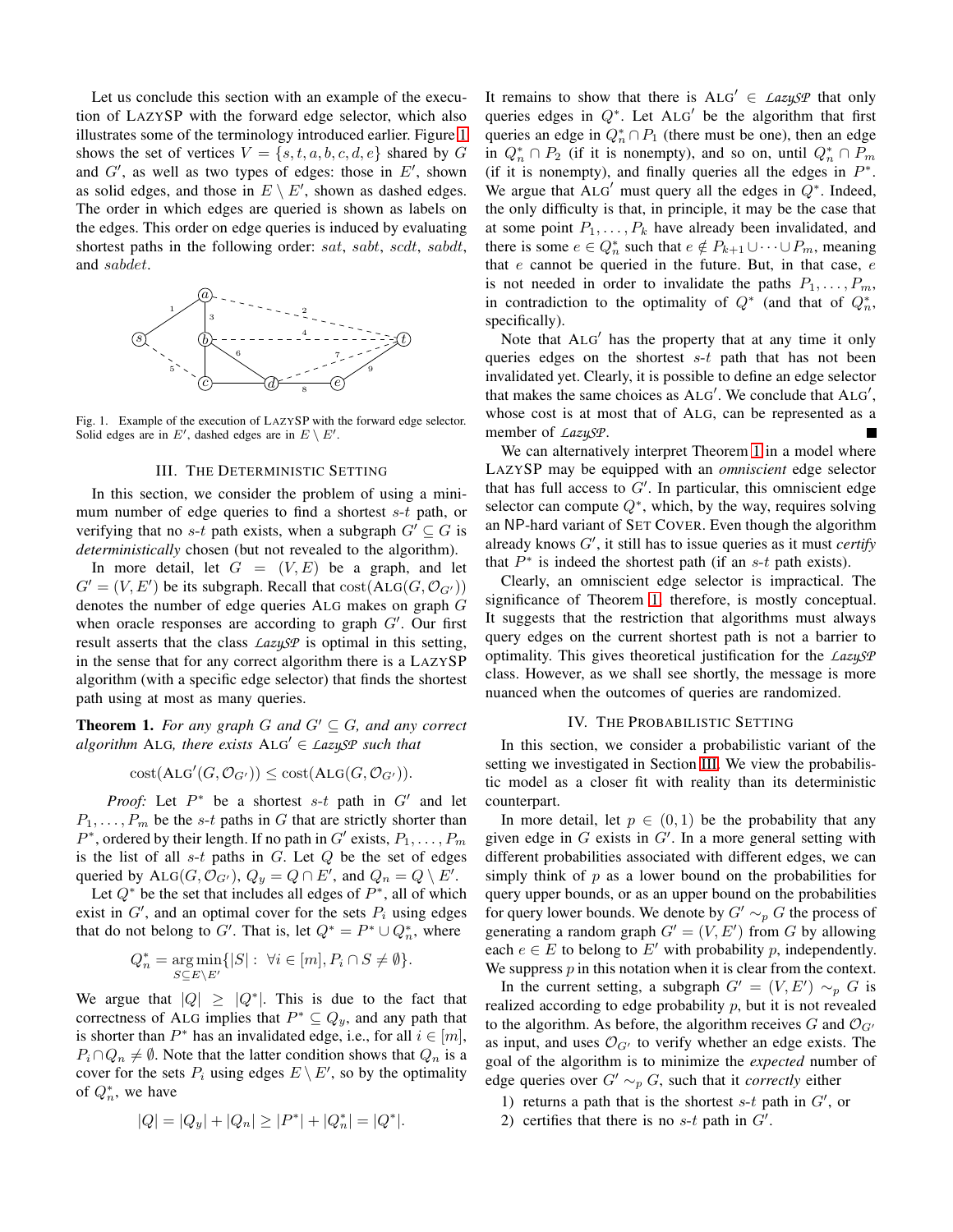Let us conclude this section with an example of the execution of LAZYSP with the forward edge selector, which also illustrates some of the terminology introduced earlier. Figure [1](#page-2-2) shows the set of vertices  $V = \{s, t, a, b, c, d, e\}$  shared by G and  $G'$ , as well as two types of edges: those in  $E'$ , shown as solid edges, and those in  $E \setminus E'$ , shown as dashed edges. The order in which edges are queried is shown as labels on the edges. This order on edge queries is induced by evaluating shortest paths in the following order: sat, sabt, scdt, sabdt, and sabdet.



<span id="page-2-2"></span><span id="page-2-0"></span>Fig. 1. Example of the execution of LAZYSP with the forward edge selector. Solid edges are in E', dashed edges are in  $E \setminus E'$ .

### III. THE DETERMINISTIC SETTING

In this section, we consider the problem of using a minimum number of edge queries to find a shortest  $s-t$  path, or verifying that no s-t path exists, when a subgraph  $G' \subseteq G$  is *deterministically* chosen (but not revealed to the algorithm). In more detail, let  $G = (V, E)$  be a graph, and let  $G' = (V, E')$  be its subgraph. Recall that  $cost(ALG(G, \mathcal{O}_{G'}))$ 

denotes the number of edge queries ALG makes on graph G when oracle responses are according to graph  $G'$ . Our first result asserts that the class *LazySP* is optimal in this setting, in the sense that for any correct algorithm there is a LAZYSP algorithm (with a specific edge selector) that finds the shortest path using at most as many queries.

<span id="page-2-3"></span>**Theorem 1.** For any graph  $G$  and  $G' \subseteq G$ , and any correct *algorithm* ALG, there exists  $ALG' \in \text{LazySP}$  such that

$$
cost(ALG'(G, \mathcal{O}_{G'})) \leq cost(ALG(G, \mathcal{O}_{G'})).
$$

*Proof:* Let  $P^*$  be a shortest s-t path in  $G'$  and let  $P_1, \ldots, P_m$  be the s-t paths in G that are strictly shorter than  $P^*$ , ordered by their length. If no path in  $G'$  exists,  $P_1, \ldots, P_m$ is the list of all  $s-t$  paths in  $G$ . Let  $Q$  be the set of edges queried by  $\text{ALG}(G, \mathcal{O}_{G'})$ ,  $Q_y = Q \cap E'$ , and  $Q_n = Q \setminus E'$ .

Let  $Q^*$  be the set that includes all edges of  $P^*$ , all of which exist in  $G'$ , and an optimal cover for the sets  $P_i$  using edges that do not belong to G'. That is, let  $Q^* = P^* \cup Q_n^*$ , where

$$
Q_n^* = \underset{S \subseteq E \backslash E'}{\arg \min} \{ |S| : \ \forall i \in [m], P_i \cap S \neq \emptyset \}.
$$

We argue that  $|Q| \ge |Q^*|$ . This is due to the fact that correctness of ALG implies that  $P^* \subseteq Q_y$ , and any path that is shorter than  $P^*$  has an invalidated edge, i.e., for all  $i \in [m]$ ,  $P_i \cap Q_n \neq \emptyset$ . Note that the latter condition shows that  $Q_n$  is a cover for the sets  $P_i$  using edges  $E \setminus E'$ , so by the optimality of  $Q_n^*$ , we have

$$
|Q| = |Q_y| + |Q_n| \ge |P^*| + |Q_n^*| = |Q^*|.
$$

It remains to show that there is  $ALG' \in \text{LazySP}$  that only queries edges in  $Q^*$ . Let ALG' be the algorithm that first queries an edge in  $Q_n^* \cap P_1$  (there must be one), then an edge in  $Q_n^* \cap P_2$  (if it is nonempty), and so on, until  $Q_n^* \cap P_m$ (if it is nonempty), and finally queries all the edges in  $P^*$ . We argue that  $ALG'$  must query all the edges in  $Q^*$ . Indeed, the only difficulty is that, in principle, it may be the case that at some point  $P_1, \ldots, P_k$  have already been invalidated, and there is some  $e \in Q_n^*$  such that  $e \notin P_{k+1} \cup \cdots \cup P_m$ , meaning that  $e$  cannot be queried in the future. But, in that case,  $e$ is not needed in order to invalidate the paths  $P_1, \ldots, P_m$ , in contradiction to the optimality of  $Q^*$  (and that of  $Q_n^*$ , specifically).

Note that ALG′ has the property that at any time it only queries edges on the shortest  $s-t$  path that has not been invalidated yet. Clearly, it is possible to define an edge selector that makes the same choices as  $ALG'$ . We conclude that  $ALG'$ , whose cost is at most that of ALG, can be represented as a member of *LazySP*.

We can alternatively interpret Theorem [1](#page-2-3) in a model where LAZYSP may be equipped with an *omniscient* edge selector that has full access to  $G'$ . In particular, this omniscient edge selector can compute  $Q^*$ , which, by the way, requires solving an NP-hard variant of SET COVER. Even though the algorithm already knows G′ , it still has to issue queries as it must *certify* that  $P^*$  is indeed the shortest path (if an  $s-t$  path exists).

Clearly, an omniscient edge selector is impractical. The significance of Theorem [1,](#page-2-3) therefore, is mostly conceptual. It suggests that the restriction that algorithms must always query edges on the current shortest path is not a barrier to optimality. This gives theoretical justification for the *LazySP* class. However, as we shall see shortly, the message is more nuanced when the outcomes of queries are randomized.

### IV. THE PROBABILISTIC SETTING

<span id="page-2-1"></span>In this section, we consider a probabilistic variant of the setting we investigated in Section [III.](#page-2-0) We view the probabilistic model as a closer fit with reality than its deterministic counterpart.

In more detail, let  $p \in (0,1)$  be the probability that any given edge in  $G$  exists in  $G'$ . In a more general setting with different probabilities associated with different edges, we can simply think of  $p$  as a lower bound on the probabilities for query upper bounds, or as an upper bound on the probabilities for query lower bounds. We denote by  $G' \sim_p G$  the process of generating a random graph  $G' = (V, E')$  from G by allowing each  $e \in E$  to belong to E' with probability p, independently. We suppress  $p$  in this notation when it is clear from the context.

In the current setting, a subgraph  $G' = (V, E') \sim_p G$  is realized according to edge probability  $p$ , but it is not revealed to the algorithm. As before, the algorithm receives G and  $\mathcal{O}_{G'}$ as input, and uses  $\mathcal{O}_{G'}$  to verify whether an edge exists. The goal of the algorithm is to minimize the *expected* number of edge queries over  $G' \sim_p G$ , such that it *correctly* either

- 1) returns a path that is the shortest  $s-t$  path in  $G'$ , or
- 2) certifies that there is no  $s$ -t path in  $G'$ .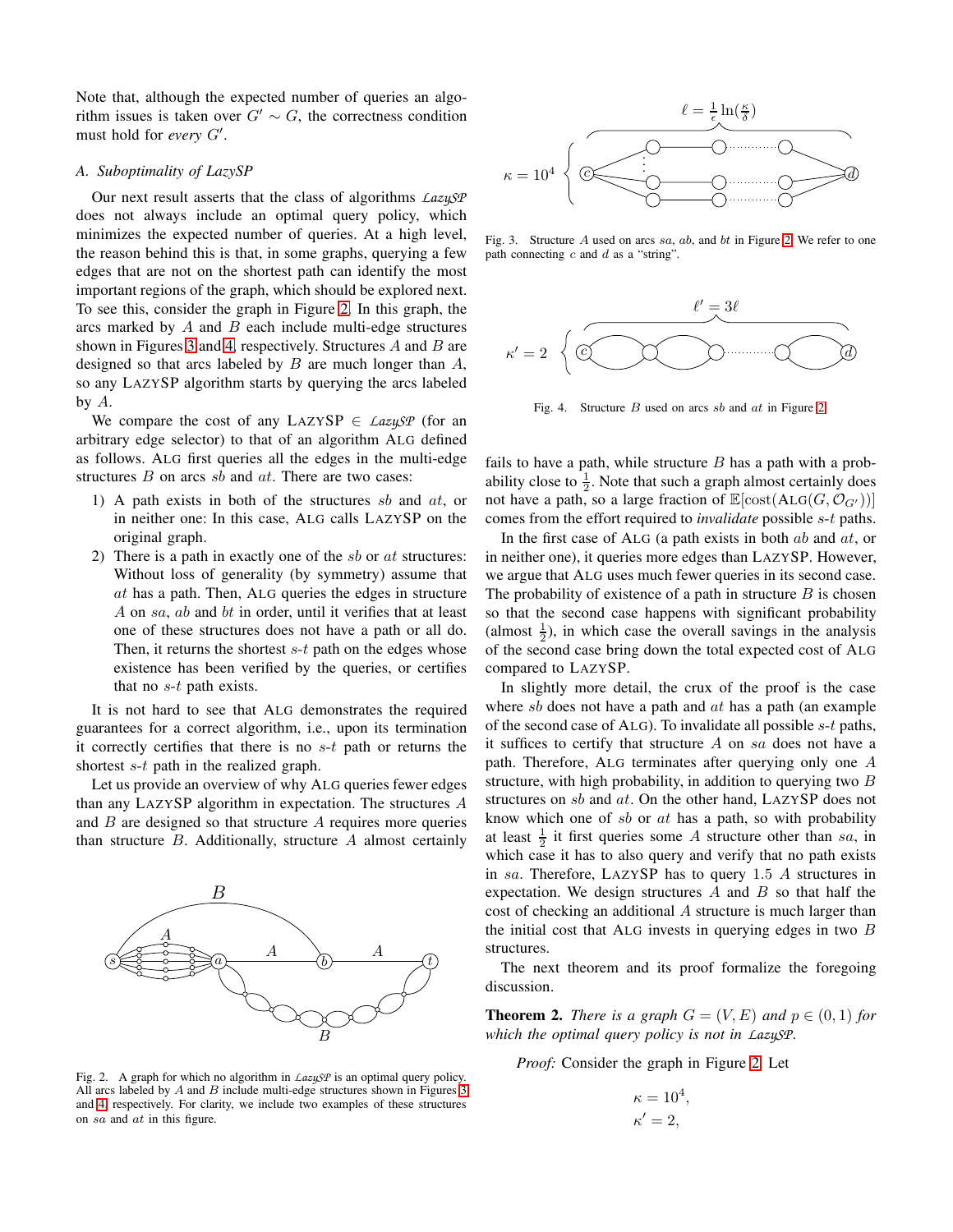Note that, although the expected number of queries an algorithm issues is taken over  $G' \sim G$ , the correctness condition must hold for *every* G′ .

# *A. Suboptimality of LazySP*

Our next result asserts that the class of algorithms *LazySP* does not always include an optimal query policy, which minimizes the expected number of queries. At a high level, the reason behind this is that, in some graphs, querying a few edges that are not on the shortest path can identify the most important regions of the graph, which should be explored next. To see this, consider the graph in Figure [2.](#page-3-0) In this graph, the arcs marked by  $A$  and  $B$  each include multi-edge structures shown in Figures [3](#page-3-1) and [4,](#page-3-2) respectively. Structures  $A$  and  $B$  are designed so that arcs labeled by  $B$  are much longer than  $A$ , so any LAZYSP algorithm starts by querying the arcs labeled by A.

We compare the cost of any  $L{\text{AZ}}{\text{Y}}{\text{S}}{\text{P}} \in \text{LazuSP}$  (for an arbitrary edge selector) to that of an algorithm ALG defined as follows. ALG first queries all the edges in the multi-edge structures  $B$  on arcs  $sb$  and  $at$ . There are two cases:

- 1) A path exists in both of the structures sb and at, or in neither one: In this case, ALG calls LAZYSP on the original graph.
- 2) There is a path in exactly one of the  $sb$  or  $at$  structures: Without loss of generality (by symmetry) assume that  $at$  has a path. Then, ALG queries the edges in structure A on sa, ab and bt in order, until it verifies that at least one of these structures does not have a path or all do. Then, it returns the shortest  $s-t$  path on the edges whose existence has been verified by the queries, or certifies that no  $s$ - $t$  path exists.

It is not hard to see that ALG demonstrates the required guarantees for a correct algorithm, i.e., upon its termination it correctly certifies that there is no  $s-t$  path or returns the shortest *s*-*t* path in the realized graph.

Let us provide an overview of why ALG queries fewer edges than any LAZYSP algorithm in expectation. The structures A and  $B$  are designed so that structure  $A$  requires more queries than structure  $B$ . Additionally, structure  $A$  almost certainly



<span id="page-3-0"></span>Fig. 2. A graph for which no algorithm in *LazySP* is an optimal query policy. All arcs labeled by  $A$  and  $B$  include multi-edge structures shown in Figures [3](#page-3-1) and [4,](#page-3-2) respectively. For clarity, we include two examples of these structures on sa and at in this figure.



<span id="page-3-1"></span>Fig. 3. Structure A used on arcs sa, ab, and bt in Figure [2.](#page-3-0) We refer to one path connecting  $c$  and  $d$  as a "string".



<span id="page-3-2"></span>Fig. 4. Structure B used on arcs sb and at in Figure [2.](#page-3-0)

fails to have a path, while structure  $B$  has a path with a probability close to  $\frac{1}{2}$ . Note that such a graph almost certainly does not have a path, so a large fraction of  $\mathbb{E}[\text{cost}(\text{ALG}(G, \mathcal{O}_{G'}))]$ comes from the effort required to *invalidate* possible s-t paths.

In the first case of ALG (a path exists in both  $ab$  and  $at$ , or in neither one), it queries more edges than LAZYSP. However, we argue that ALG uses much fewer queries in its second case. The probability of existence of a path in structure  $B$  is chosen so that the second case happens with significant probability (almost  $\frac{1}{2}$ ), in which case the overall savings in the analysis of the second case bring down the total expected cost of ALG compared to LAZYSP.

In slightly more detail, the crux of the proof is the case where sb does not have a path and  $at$  has a path (an example of the second case of ALG). To invalidate all possible  $s$ -t paths, it suffices to certify that structure  $A$  on sa does not have a path. Therefore, ALG terminates after querying only one A structure, with high probability, in addition to querying two  $B$ structures on sb and at. On the other hand, LAZYSP does not know which one of  $sb$  or  $at$  has a path, so with probability at least  $\frac{1}{2}$  it first queries some A structure other than sa, in which case it has to also query and verify that no path exists in sa. Therefore, LAZYSP has to query 1.5  $\AA$  structures in expectation. We design structures  $A$  and  $B$  so that half the cost of checking an additional A structure is much larger than the initial cost that ALG invests in querying edges in two  $B$ structures.

The next theorem and its proof formalize the foregoing discussion.

<span id="page-3-3"></span>**Theorem 2.** *There is a graph*  $G = (V, E)$  *and*  $p \in (0, 1)$  *for which the optimal query policy is not in LazySP.*

*Proof:* Consider the graph in Figure [2.](#page-3-0) Let

$$
\kappa = 10^4,
$$
  

$$
\kappa' = 2,
$$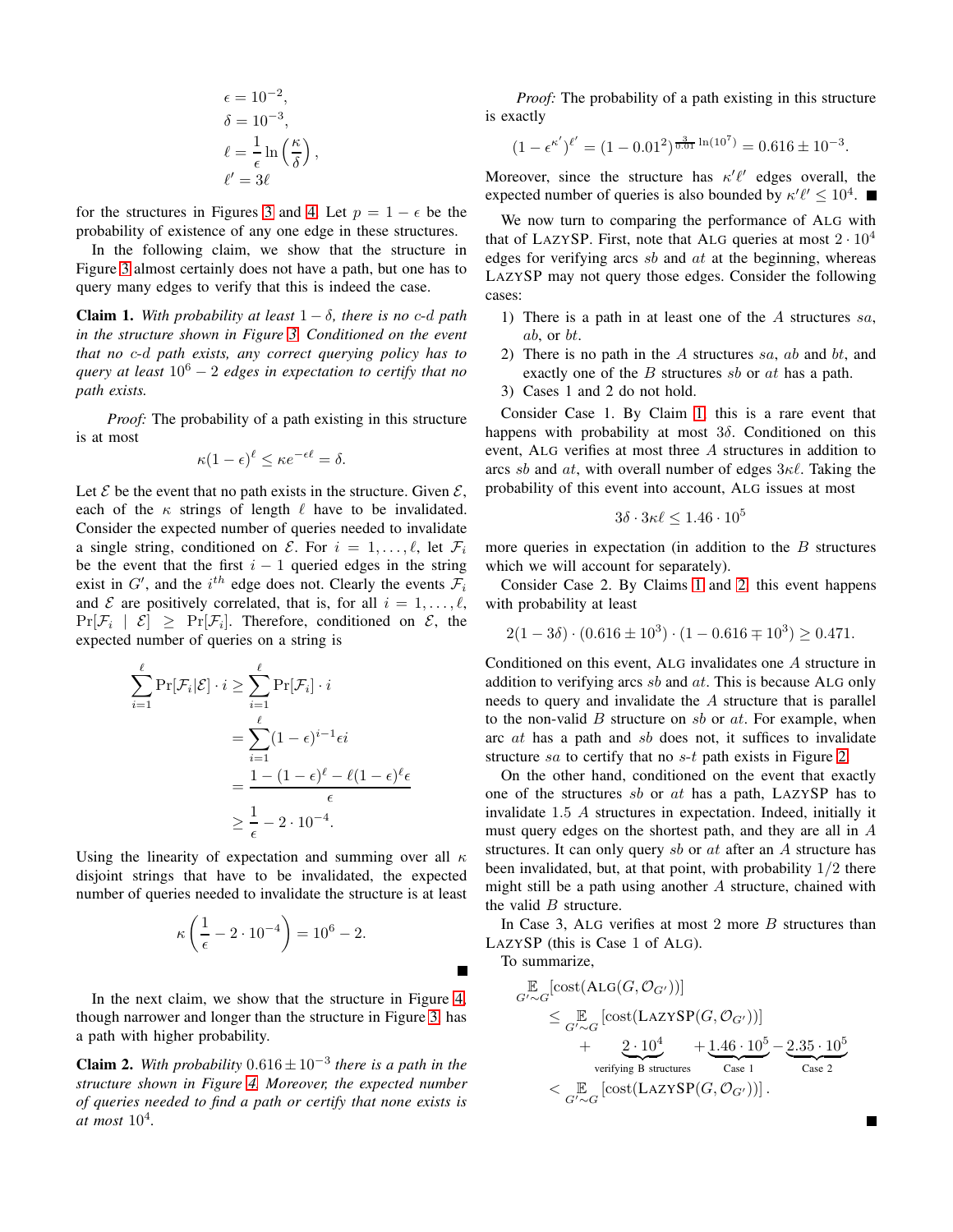$$
\epsilon = 10^{-2},
$$
  
\n
$$
\delta = 10^{-3},
$$
  
\n
$$
\ell = \frac{1}{\epsilon} \ln \left( \frac{\kappa}{\delta} \right),
$$
  
\n
$$
\ell' = 3\ell
$$

for the structures in Figures [3](#page-3-1) and [4.](#page-3-2) Let  $p = 1 - \epsilon$  be the probability of existence of any one edge in these structures.

In the following claim, we show that the structure in Figure [3](#page-3-1) almost certainly does not have a path, but one has to query many edges to verify that this is indeed the case.

<span id="page-4-0"></span>**Claim 1.** With probability at least  $1 - \delta$ , there is no c-d path *in the structure shown in Figure [3.](#page-3-1) Conditioned on the event that no* c-d *path exists, any correct querying policy has to query at least* 10<sup>6</sup> − 2 *edges in expectation to certify that no path exists.*

*Proof:* The probability of a path existing in this structure is at most

$$
\kappa(1-\epsilon)^{\ell} \leq \kappa e^{-\epsilon \ell} = \delta.
$$

Let  $\mathcal E$  be the event that no path exists in the structure. Given  $\mathcal E$ , each of the  $\kappa$  strings of length  $\ell$  have to be invalidated. Consider the expected number of queries needed to invalidate a single string, conditioned on  $\mathcal{E}$ . For  $i = 1, \ldots, \ell$ , let  $\mathcal{F}_i$ be the event that the first  $i - 1$  queried edges in the string exist in  $G'$ , and the  $i^{th}$  edge does not. Clearly the events  $\mathcal{F}_i$ and  $\mathcal E$  are positively correlated, that is, for all  $i = 1, \ldots, \ell$ ,  $Pr[\mathcal{F}_i \mid \mathcal{E}] \geq Pr[\mathcal{F}_i]$ . Therefore, conditioned on  $\mathcal{E}$ , the expected number of queries on a string is

$$
\sum_{i=1}^{\ell} \Pr[\mathcal{F}_i|\mathcal{E}] \cdot i \ge \sum_{i=1}^{\ell} \Pr[\mathcal{F}_i] \cdot i
$$
  
= 
$$
\sum_{i=1}^{\ell} (1 - \epsilon)^{i-1} \epsilon i
$$
  
= 
$$
\frac{1 - (1 - \epsilon)^{\ell} - \ell (1 - \epsilon)^{\ell} \epsilon}{\epsilon}
$$
  

$$
\ge \frac{1}{\epsilon} - 2 \cdot 10^{-4}.
$$

Using the linearity of expectation and summing over all  $\kappa$ disjoint strings that have to be invalidated, the expected number of queries needed to invalidate the structure is at least

$$
\kappa \left( \frac{1}{\epsilon} - 2 \cdot 10^{-4} \right) = 10^6 - 2.
$$

In the next claim, we show that the structure in Figure [4,](#page-3-2) though narrower and longer than the structure in Figure [3,](#page-3-1) has a path with higher probability.

<span id="page-4-1"></span>**Claim 2.** With probability  $0.616 \pm 10^{-3}$  there is a path in the *structure shown in Figure [4.](#page-3-2) Moreover, the expected number of queries needed to find a path or certify that none exists is at most* 10<sup>4</sup> *.*

*Proof:* The probability of a path existing in this structure is exactly

$$
(1 - \epsilon^{\kappa'})^{\ell'} = (1 - 0.01^2)^{\frac{3}{0.01} \ln(10^7)} = 0.616 \pm 10^{-3}.
$$

Moreover, since the structure has  $\kappa' \ell'$  edges overall, the expected number of queries is also bounded by  $\kappa' \ell' \leq 10^4$ .

We now turn to comparing the performance of ALG with that of LAZYSP. First, note that ALG queries at most  $2 \cdot 10^4$ edges for verifying arcs  $sb$  and  $at$  at the beginning, whereas LAZYSP may not query those edges. Consider the following cases:

- 1) There is a path in at least one of the  $A$  structures  $sa$ , ab, or bt.
- 2) There is no path in the A structures sa, ab and bt, and exactly one of the  $B$  structures sb or at has a path.
- 3) Cases 1 and 2 do not hold.

Consider Case 1. By Claim [1,](#page-4-0) this is a rare event that happens with probability at most  $3\delta$ . Conditioned on this event, ALG verifies at most three A structures in addition to arcs sb and  $at$ , with overall number of edges  $3\kappa\ell$ . Taking the probability of this event into account, ALG issues at most

$$
3\delta \cdot 3\kappa\ell \le 1.46 \cdot 10^5
$$

more queries in expectation (in addition to the  $B$  structures which we will account for separately).

Consider Case 2. By Claims [1](#page-4-0) and [2,](#page-4-1) this event happens with probability at least

$$
2(1 - 3\delta) \cdot (0.616 \pm 10^3) \cdot (1 - 0.616 \mp 10^3) \ge 0.471.
$$

Conditioned on this event, ALG invalidates one A structure in addition to verifying arcs  $sb$  and  $at$ . This is because ALG only needs to query and invalidate the A structure that is parallel to the non-valid  $B$  structure on  $sb$  or  $at$ . For example, when arc at has a path and sb does not, it suffices to invalidate structure sa to certify that no  $s$ -t path exists in Figure [2.](#page-3-0)

On the other hand, conditioned on the event that exactly one of the structures  $sb$  or  $at$  has a path, LAZYSP has to invalidate 1.5 A structures in expectation. Indeed, initially it must query edges on the shortest path, and they are all in A structures. It can only query sb or at after an A structure has been invalidated, but, at that point, with probability  $1/2$  there might still be a path using another  $A$  structure, chained with the valid  $B$  structure.

In Case 3, ALG verifies at most 2 more  $B$  structures than LAZYSP (this is Case 1 of ALG).

To summarize,

$$
\mathbb{E}_{G'\sim G}[\text{cost}(\text{ALG}(G, \mathcal{O}_{G'}))]
$$
\n
$$
\leq \mathbb{E}_{G'\sim G}[\text{cost}(\text{LazySP}(G, \mathcal{O}_{G'}))]
$$
\n
$$
+ 2 \cdot 10^4 + 1.46 \cdot 10^5 - 2.35 \cdot 10^5
$$
\n
$$
< \mathbb{E}_{G'\sim G}[\text{cost}(\text{LazySP}(G, \mathcal{O}_{G'}))].
$$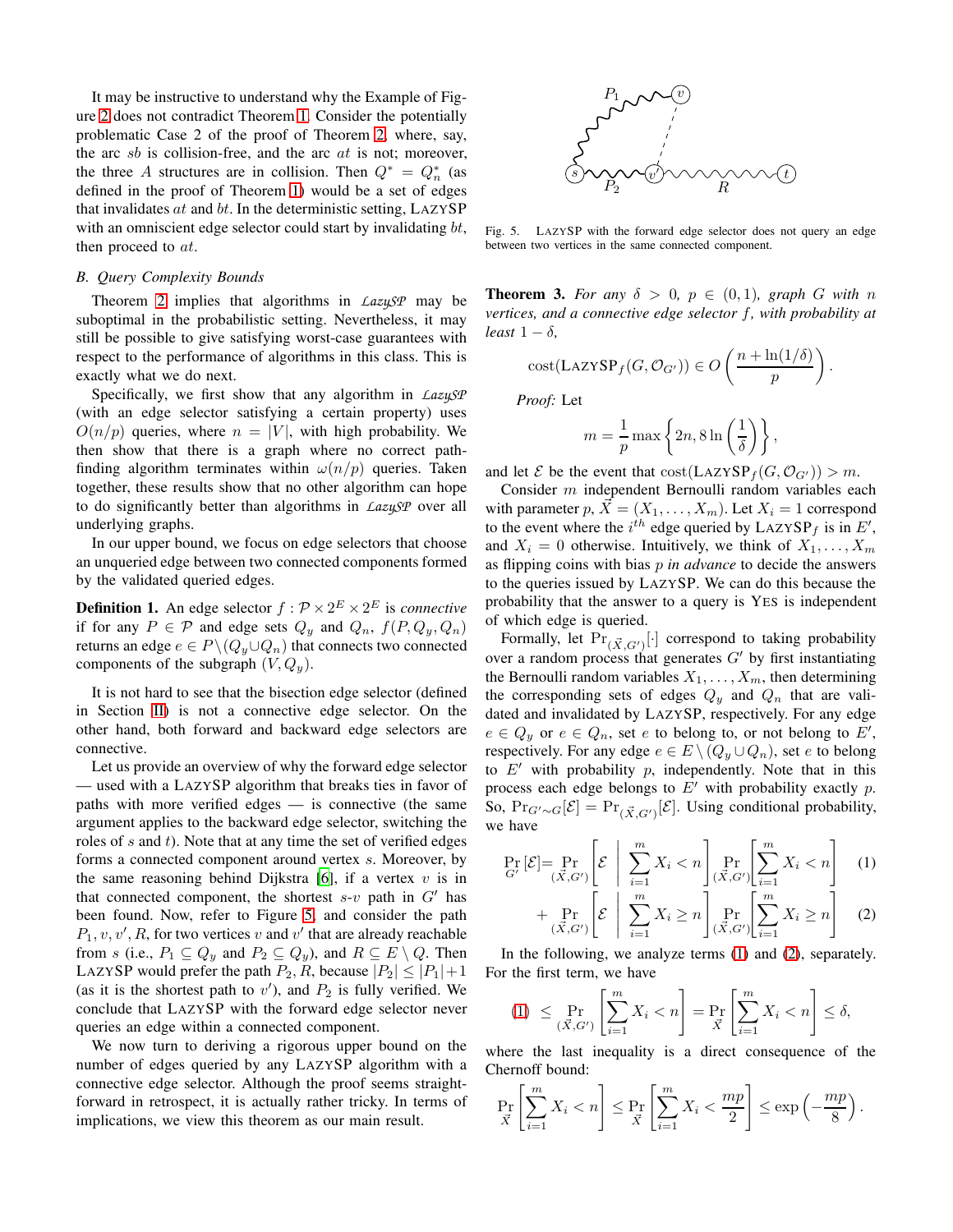It may be instructive to understand why the Example of Figure [2](#page-3-0) does not contradict Theorem [1.](#page-2-3) Consider the potentially problematic Case 2 of the proof of Theorem [2,](#page-3-3) where, say, the arc  $sb$  is collision-free, and the arc  $at$  is not; moreover, the three A structures are in collision. Then  $Q^* = Q_n^*$  (as defined in the proof of Theorem [1\)](#page-2-3) would be a set of edges that invalidates  $at$  and  $bt$ . In the deterministic setting, LAZYSP with an omniscient edge selector could start by invalidating bt, then proceed to *at*.

### *B. Query Complexity Bounds*

Theorem [2](#page-3-3) implies that algorithms in *LazySP* may be suboptimal in the probabilistic setting. Nevertheless, it may still be possible to give satisfying worst-case guarantees with respect to the performance of algorithms in this class. This is exactly what we do next.

Specifically, we first show that any algorithm in *LazySP* (with an edge selector satisfying a certain property) uses  $O(n/p)$  queries, where  $n = |V|$ , with high probability. We then show that there is a graph where no correct pathfinding algorithm terminates within  $\omega(n/p)$  queries. Taken together, these results show that no other algorithm can hope to do significantly better than algorithms in *LazySP* over all underlying graphs.

In our upper bound, we focus on edge selectors that choose an unqueried edge between two connected components formed by the validated queried edges.

**Definition 1.** An edge selector  $f : \mathcal{P} \times 2^E \times 2^E$  is *connective* if for any  $P \in \mathcal{P}$  and edge sets  $Q_y$  and  $Q_n$ ,  $f(P, Q_y, Q_n)$ returns an edge  $e \in P \setminus (Q_y \cup Q_n)$  that connects two connected components of the subgraph  $(V, Q_y)$ .

It is not hard to see that the bisection edge selector (defined in Section [II\)](#page-1-2) is not a connective edge selector. On the other hand, both forward and backward edge selectors are connective.

Let us provide an overview of why the forward edge selector — used with a LAZYSP algorithm that breaks ties in favor of paths with more verified edges — is connective (the same argument applies to the backward edge selector, switching the roles of  $s$  and  $t$ ). Note that at any time the set of verified edges forms a connected component around vertex s. Moreover, by the same reasoning behind Dijkstra [\[6](#page-7-8)], if a vertex  $v$  is in that connected component, the shortest  $s-v$  path in  $G'$  has been found. Now, refer to Figure [5,](#page-5-0) and consider the path  $P_1, v, v', R$ , for two vertices v and v' that are already reachable from s (i.e.,  $P_1 \subseteq Q_y$  and  $P_2 \subseteq Q_y$ ), and  $R \subseteq E \setminus Q$ . Then LAZYSP would prefer the path  $P_2, R$ , because  $|P_2| \leq |P_1|+1$ (as it is the shortest path to  $v'$ ), and  $P_2$  is fully verified. We conclude that LAZYSP with the forward edge selector never queries an edge within a connected component.

We now turn to deriving a rigorous upper bound on the number of edges queried by any LAZYSP algorithm with a connective edge selector. Although the proof seems straightforward in retrospect, it is actually rather tricky. In terms of implications, we view this theorem as our main result.



<span id="page-5-0"></span>Fig. 5. LAZYSP with the forward edge selector does not query an edge between two vertices in the same connected component.

<span id="page-5-3"></span>**Theorem 3.** For any  $\delta > 0$ ,  $p \in (0,1)$ , graph G with n *vertices, and a connective edge selector* f*, with probability at least*  $1 - \delta$ *,* 

$$
cost(LazySP_f(G, \mathcal{O}_{G'})) \in O\left(\frac{n + \ln(1/\delta)}{p}\right).
$$

*Proof:* Let

$$
m = \frac{1}{p} \max \left\{ 2n, 8 \ln \left( \frac{1}{\delta} \right) \right\},\
$$

and let  $\mathcal E$  be the event that  $\mathrm{cost}(\mathrm{LazySP}_f(G, \mathcal O_{G'})) > m$ .

Consider m independent Bernoulli random variables each with parameter  $p, \vec{X} = (X_1, \ldots, X_m)$ . Let  $X_i = 1$  correspond to the event where the  $i^{th}$  edge queried by LAZYSP<sub>f</sub> is in  $E'$ , and  $X_i = 0$  otherwise. Intuitively, we think of  $X_1, \ldots, X_m$ as flipping coins with bias p *in advance* to decide the answers to the queries issued by LAZYSP. We can do this because the probability that the answer to a query is YES is independent of which edge is queried.

Formally, let  $Pr_{(\vec{X},G')}[\cdot]$  correspond to taking probability over a random process that generates  $G'$  by first instantiating the Bernoulli random variables  $X_1, \ldots, X_m$ , then determining the corresponding sets of edges  $Q_y$  and  $Q_n$  that are validated and invalidated by LAZYSP, respectively. For any edge  $e \in Q_y$  or  $e \in Q_n$ , set e to belong to, or not belong to E', respectively. For any edge  $e \in E \setminus (Q_y \cup Q_n)$ , set e to belong to  $E'$  with probability  $p$ , independently. Note that in this process each edge belongs to  $E'$  with probability exactly p. So,  $Pr_{G'\sim G}[\mathcal{E}] = Pr_{(\vec{X},G')}[\mathcal{E}]$ . Using conditional probability, we have

$$
\Pr_{G'}[\mathcal{E}] = \Pr_{(\vec{X}, G')} \left[ \mathcal{E} \mid \sum_{i=1}^{m} X_i < n \right] \Pr_{(\vec{X}, G')} \left[ \sum_{i=1}^{m} X_i < n \right] \tag{1}
$$

<span id="page-5-2"></span><span id="page-5-1"></span>
$$
+\Pr_{(\vec{X},G')} \left[ \mathcal{E} \mid \sum_{i=1}^{m} X_i \ge n \right] \Pr_{(\vec{X},G')} \left[ \sum_{i=1}^{m} X_i \ge n \right] \tag{2}
$$

In the following, we analyze terms [\(1\)](#page-5-1) and [\(2\)](#page-5-2), separately. For the first term, we have

$$
(1) \leq \Pr_{(\vec{X},G')} \left[ \sum_{i=1}^{m} X_i < n \right] = \Pr_{\vec{X}} \left[ \sum_{i=1}^{m} X_i < n \right] \leq \delta,
$$

where the last inequality is a direct consequence of the Chernoff bound:

$$
\Pr_{\vec{X}}\left[\sum_{i=1}^{m} X_i < n\right] \le \Pr_{\vec{X}}\left[\sum_{i=1}^{m} X_i < \frac{mp}{2}\right] \le \exp\left(-\frac{mp}{8}\right).
$$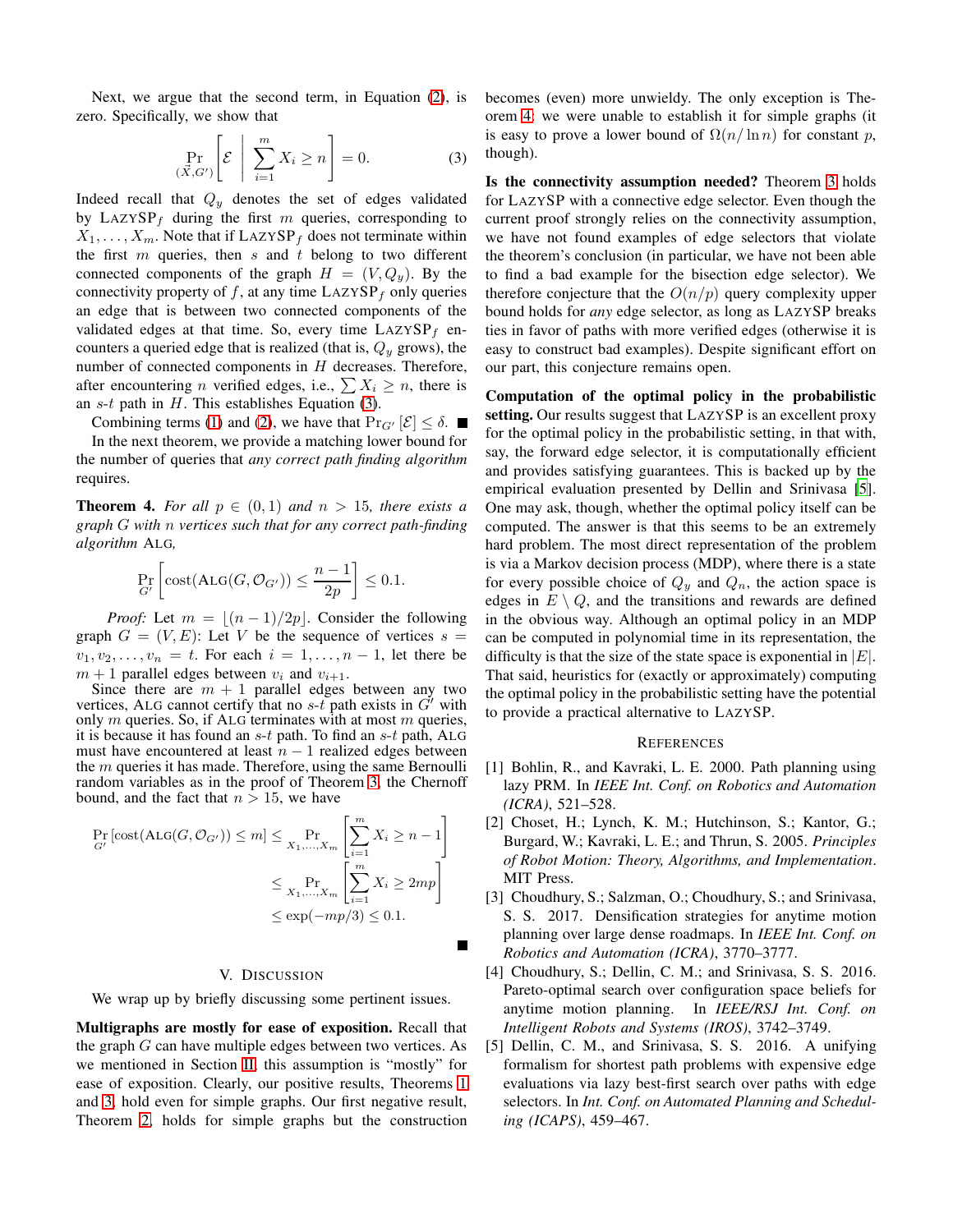Next, we argue that the second term, in Equation [\(2\)](#page-5-2), is zero. Specifically, we show that

<span id="page-6-6"></span>
$$
\Pr_{(\vec{X},G')} \left[ \mathcal{E} \mid \sum_{i=1}^{m} X_i \ge n \right] = 0. \tag{3}
$$

Indeed recall that  $Q_y$  denotes the set of edges validated by LAZYSP<sub>f</sub> during the first m queries, corresponding to  $X_1, \ldots, X_m$ . Note that if LAZYSP<sub>f</sub> does not terminate within the first  $m$  queries, then  $s$  and  $t$  belong to two different connected components of the graph  $H = (V, Q_y)$ . By the connectivity property of  $f$ , at any time  $L{\text{AZ}}{\text{Y}}{\text{S}}{\text{P}}_f$  only queries an edge that is between two connected components of the validated edges at that time. So, every time  $L{\rm AZYSP}_f$  encounters a queried edge that is realized (that is,  $Q_y$  grows), the number of connected components in  $H$  decreases. Therefore, after encountering *n* verified edges, i.e.,  $\sum X_i \ge n$ , there is an  $s-t$  path in  $H$ . This establishes Equation [\(3\)](#page-6-6).

Combining terms [\(1\)](#page-5-1) and [\(2\)](#page-5-2), we have that  $\Pr_{G'}[\mathcal{E}] \leq \delta$ .

In the next theorem, we provide a matching lower bound for the number of queries that *any correct path finding algorithm* requires.

<span id="page-6-7"></span>**Theorem 4.** For all  $p \in (0,1)$  and  $n > 15$ , there exists a *graph* G *with* n *vertices such that for any correct path-finding algorithm* ALG*,*

$$
\Pr_{G'}\left[\mathrm{cost}(\mathrm{ALG}(G,\mathcal{O}_{G'})) \leq \frac{n-1}{2p}\right] \leq 0.1.
$$

*Proof:* Let  $m = \lfloor (n-1)/2p \rfloor$ . Consider the following graph  $G = (V, E)$ : Let V be the sequence of vertices  $s =$  $v_1, v_2, \ldots, v_n = t$ . For each  $i = 1, \ldots, n-1$ , let there be  $m + 1$  parallel edges between  $v_i$  and  $v_{i+1}$ .

Since there are  $m + 1$  parallel edges between any two vertices, ALG cannot certify that no  $s$ -t path exists in  $G'$  with only  $m$  queries. So, if ALG terminates with at most  $m$  queries, it is because it has found an  $s-t$  path. To find an  $s-t$  path, ALG must have encountered at least  $n - 1$  realized edges between the  $m$  queries it has made. Therefore, using the same Bernoulli random variables as in the proof of Theorem [3,](#page-5-3) the Chernoff bound, and the fact that  $n > 15$ , we have

$$
\Pr_{G'}\left[\text{cost}(\text{ALG}(G, \mathcal{O}_{G'})) \le m\right] \le \Pr_{X_1, \dots, X_m} \left[\sum_{i=1}^m X_i \ge n - 1\right]
$$

$$
\le \Pr_{X_1, \dots, X_m} \left[\sum_{i=1}^m X_i \ge 2mp\right]
$$

$$
\le \exp(-mp/3) \le 0.1.
$$

# V. DISCUSSION

П

<span id="page-6-5"></span>We wrap up by briefly discussing some pertinent issues.

Multigraphs are mostly for ease of exposition. Recall that the graph G can have multiple edges between two vertices. As we mentioned in Section [II,](#page-1-2) this assumption is "mostly" for ease of exposition. Clearly, our positive results, Theorems [1](#page-2-3) and [3,](#page-5-3) hold even for simple graphs. Our first negative result, Theorem [2,](#page-3-3) holds for simple graphs but the construction

becomes (even) more unwieldy. The only exception is Theorem [4:](#page-6-7) we were unable to establish it for simple graphs (it is easy to prove a lower bound of  $\Omega(n/\ln n)$  for constant p, though).

Is the connectivity assumption needed? Theorem [3](#page-5-3) holds for LAZYSP with a connective edge selector. Even though the current proof strongly relies on the connectivity assumption, we have not found examples of edge selectors that violate the theorem's conclusion (in particular, we have not been able to find a bad example for the bisection edge selector). We therefore conjecture that the  $O(n/p)$  query complexity upper bound holds for *any* edge selector, as long as LAZYSP breaks ties in favor of paths with more verified edges (otherwise it is easy to construct bad examples). Despite significant effort on our part, this conjecture remains open.

Computation of the optimal policy in the probabilistic setting. Our results suggest that LAZYSP is an excellent proxy for the optimal policy in the probabilistic setting, in that with, say, the forward edge selector, it is computationally efficient and provides satisfying guarantees. This is backed up by the empirical evaluation presented by Dellin and Srinivasa [\[5](#page-6-3)]. One may ask, though, whether the optimal policy itself can be computed. The answer is that this seems to be an extremely hard problem. The most direct representation of the problem is via a Markov decision process (MDP), where there is a state for every possible choice of  $Q_y$  and  $Q_n$ , the action space is edges in  $E \setminus Q$ , and the transitions and rewards are defined in the obvious way. Although an optimal policy in an MDP can be computed in polynomial time in its representation, the difficulty is that the size of the state space is exponential in  $|E|$ . That said, heuristics for (exactly or approximately) computing the optimal policy in the probabilistic setting have the potential to provide a practical alternative to LAZYSP.

# **REFERENCES**

- <span id="page-6-1"></span>[1] Bohlin, R., and Kavraki, L. E. 2000. Path planning using lazy PRM. In *IEEE Int. Conf. on Robotics and Automation (ICRA)*, 521–528.
- <span id="page-6-0"></span>[2] Choset, H.; Lynch, K. M.; Hutchinson, S.; Kantor, G.; Burgard, W.; Kavraki, L. E.; and Thrun, S. 2005. *Principles of Robot Motion: Theory, Algorithms, and Implementation*. MIT Press.
- <span id="page-6-2"></span>[3] Choudhury, S.; Salzman, O.; Choudhury, S.; and Srinivasa, S. S. 2017. Densification strategies for anytime motion planning over large dense roadmaps. In *IEEE Int. Conf. on Robotics and Automation (ICRA)*, 3770–3777.
- <span id="page-6-4"></span>[4] Choudhury, S.; Dellin, C. M.; and Srinivasa, S. S. 2016. Pareto-optimal search over configuration space beliefs for anytime motion planning. In *IEEE/RSJ Int. Conf. on Intelligent Robots and Systems (IROS)*, 3742–3749.
- <span id="page-6-3"></span>[5] Dellin, C. M., and Srinivasa, S. S. 2016. A unifying formalism for shortest path problems with expensive edge evaluations via lazy best-first search over paths with edge selectors. In *Int. Conf. on Automated Planning and Scheduling (ICAPS)*, 459–467.